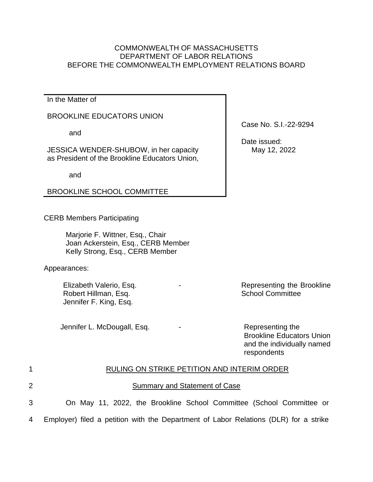## COMMONWEALTH OF MASSACHUSETTS DEPARTMENT OF LABOR RELATIONS BEFORE THE COMMONWEALTH EMPLOYMENT RELATIONS BOARD

In the Matter of

## BROOKLINE EDUCATORS UNION

and

JESSICA WENDER-SHUBOW, in her capacity as President of the Brookline Educators Union,

and

BROOKLINE SCHOOL COMMITTEE

CERB Members Participating

Marjorie F. Wittner, Esq., Chair Joan Ackerstein, Esq., CERB Member Kelly Strong, Esq., CERB Member

Appearances:

Elizabeth Valerio, Esq. Robert Hillman, Esq. Jennifer F. King, Esq.

Jennifer L. McDougall, Esq. The Contract of the Representing the

Case No. S.I.-22-9294

 Date issued: May 12, 2022

Representing the Brookline School Committee

Brookline Educators Union and the individually named respondents

| $\mathbf 1$    | RULING ON STRIKE PETITION AND INTERIM ORDER                                          |
|----------------|--------------------------------------------------------------------------------------|
| $\overline{2}$ | Summary and Statement of Case                                                        |
| 3              | On May 11, 2022, the Brookline School Committee (School Committee or                 |
| 4              | Employer) filed a petition with the Department of Labor Relations (DLR) for a strike |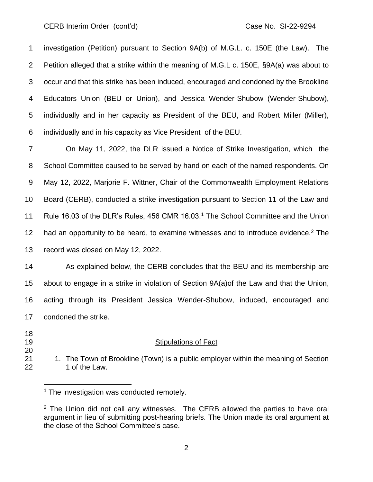investigation (Petition) pursuant to Section 9A(b) of M.G.L. c. 150E (the Law). The Petition alleged that a strike within the meaning of M.G.L c. 150E, §9A(a) was about to occur and that this strike has been induced, encouraged and condoned by the Brookline Educators Union (BEU or Union), and Jessica Wender-Shubow (Wender-Shubow), individually and in her capacity as President of the BEU, and Robert Miller (Miller), individually and in his capacity as Vice President of the BEU.

 On May 11, 2022, the DLR issued a Notice of Strike Investigation, which the School Committee caused to be served by hand on each of the named respondents. On May 12, 2022, Marjorie F. Wittner, Chair of the Commonwealth Employment Relations Board (CERB), conducted a strike investigation pursuant to Section 11 of the Law and 11 Rule 16.03 of the DLR's Rules, 456 CMR 16.03.<sup>1</sup> The School Committee and the Union 12 had an opportunity to be heard, to examine witnesses and to introduce evidence.<sup>2</sup> The record was closed on May 12, 2022.

 As explained below, the CERB concludes that the BEU and its membership are about to engage in a strike in violation of Section 9A(a)of the Law and that the Union, acting through its President Jessica Wender-Shubow, induced, encouraged and condoned the strike.

- 
- 

## Stipulations of Fact

21 1. The Town of Brookline (Town) is a public employer within the meaning of Section 22 1 of the Law.

<sup>&</sup>lt;sup>1</sup> The investigation was conducted remotely.

 The Union did not call any witnesses. The CERB allowed the parties to have oral argument in lieu of submitting post-hearing briefs. The Union made its oral argument at the close of the School Committee's case.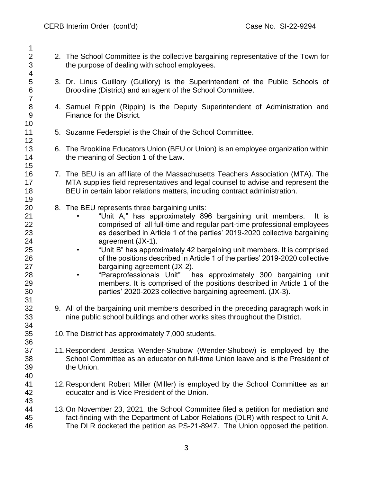- 2 2. The School Committee is the collective bargaining representative of the Town for the purpose of dealing with school employees.
- 3. Dr. Linus Guillory (Guillory) is the Superintendent of the Public Schools of Brookline (District) and an agent of the School Committee.
- 4. Samuel Rippin (Rippin) is the Deputy Superintendent of Administration and Finance for the District.
- 5. Suzanne Federspiel is the Chair of the School Committee.
- 6. The Brookline Educators Union (BEU or Union) is an employee organization within 14 the meaning of Section 1 of the Law.
- 16 7. The BEU is an affiliate of the Massachusetts Teachers Association (MTA). The 17 MTA supplies field representatives and legal counsel to advise and represent the MTA supplies field representatives and legal counsel to advise and represent the BEU in certain labor relations matters, including contract administration.
- 8. The BEU represents three bargaining units:
- "Unit A," has approximately 896 bargaining unit members. It is comprised of all full-time and regular part-time professional employees as described in Article 1 of the parties' 2019-2020 collective bargaining agreement (JX-1).
- "Unit B" has approximately 42 bargaining unit members. It is comprised of the positions described in Article 1 of the parties' 2019-2020 collective bargaining agreement (JX-2).
- "Paraprofessionals Unit" has approximately 300 bargaining unit members. It is comprised of the positions described in Article 1 of the parties' 2020-2023 collective bargaining agreement. (JX-3).
- 9. All of the bargaining unit members described in the preceding paragraph work in nine public school buildings and other works sites throughout the District.
- 10.The District has approximately 7,000 students.
- 11.Respondent Jessica Wender-Shubow (Wender-Shubow) is employed by the School Committee as an educator on full-time Union leave and is the President of the Union.
- 12.Respondent Robert Miller (Miller) is employed by the School Committee as an educator and is Vice President of the Union.
- 13.On November 23, 2021, the School Committee filed a petition for mediation and fact-finding with the Department of Labor Relations (DLR) with respect to Unit A. The DLR docketed the petition as PS-21-8947. The Union opposed the petition.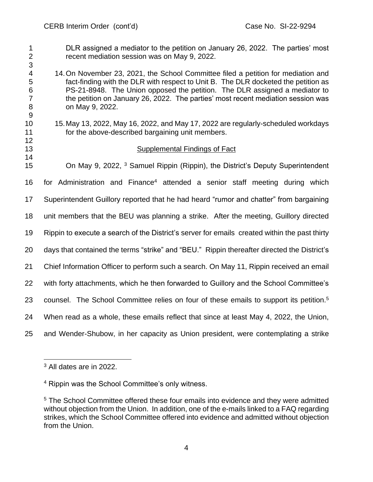DLR assigned a mediator to the petition on January 26, 2022. The parties' most recent mediation session was on May 9, 2022. 

- 14.On November 23, 2021, the School Committee filed a petition for mediation and fact-finding with the DLR with respect to Unit B. The DLR docketed the petition as PS-21-8948. The Union opposed the petition. The DLR assigned a mediator to the petition on January 26, 2022. The parties' most recent mediation session was on May 9, 2022.
- 

 15.May 13, 2022, May 16, 2022, and May 17, 2022 are regularly-scheduled workdays for the above-described bargaining unit members.

## Supplemental Findings of Fact

15 Con May 9, 2022, <sup>3</sup> Samuel Rippin (Rippin), the District's Deputy Superintendent 16 for Administration and Finance<sup>4</sup> attended a senior staff meeting during which Superintendent Guillory reported that he had heard "rumor and chatter" from bargaining unit members that the BEU was planning a strike. After the meeting, Guillory directed Rippin to execute a search of the District's server for emails created within the past thirty days that contained the terms "strike" and "BEU." Rippin thereafter directed the District's Chief Information Officer to perform such a search. On May 11, Rippin received an email with forty attachments, which he then forwarded to Guillory and the School Committee's 23 counsel. The School Committee relies on four of these emails to support its petition.<sup>5</sup> When read as a whole, these emails reflect that since at least May 4, 2022, the Union, and Wender-Shubow, in her capacity as Union president, were contemplating a strike

All dates are in 2022.

Rippin was the School Committee's only witness.

 The School Committee offered these four emails into evidence and they were admitted without objection from the Union. In addition, one of the e-mails linked to a FAQ regarding strikes, which the School Committee offered into evidence and admitted without objection from the Union.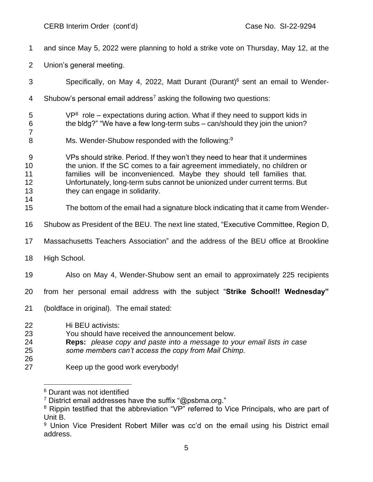and since May 5, 2022 were planning to hold a strike vote on Thursday, May 12, at the Union's general meeting. Specifically, on May 4, 2022, Matt Durant (Durant)<sup>6</sup> sent an email to Wender-4 Shubow's personal email address<sup>7</sup> asking the following two questions: VP<sup>8</sup> role – expectations during action. What if they need to support kids in the bldg?" "We have a few long-term subs – can/should they join the union? 8 Ms. Wender-Shubow responded with the following:<sup>9</sup> VPs should strike. Period. If they won't they need to hear that it undermines the union. If the SC comes to a fair agreement immediately, no children or families will be inconvenienced. Maybe they should tell families that. Unfortunately, long-term subs cannot be unionized under current terms. But 13 they can engage in solidarity. The bottom of the email had a signature block indicating that it came from Wender- Shubow as President of the BEU. The next line stated, "Executive Committee, Region D, Massachusetts Teachers Association" and the address of the BEU office at Brookline High School. Also on May 4, Wender-Shubow sent an email to approximately 225 recipients from her personal email address with the subject "**Strike School!! Wednesday"**  (boldface in original). The email stated: Hi BEU activists: You should have received the announcement below. **Reps:** *please copy and paste into a message to your email lists in case some members can't access the copy from Mail Chimp.* Keep up the good work everybody!

Durant was not identified

<sup>&</sup>lt;sup>7</sup> District email addresses have the suffix "@psbma.org."

<sup>&</sup>lt;sup>8</sup> Rippin testified that the abbreviation "VP" referred to Vice Principals, who are part of Unit B.

<sup>&</sup>lt;sup>9</sup> Union Vice President Robert Miller was cc'd on the email using his District email address.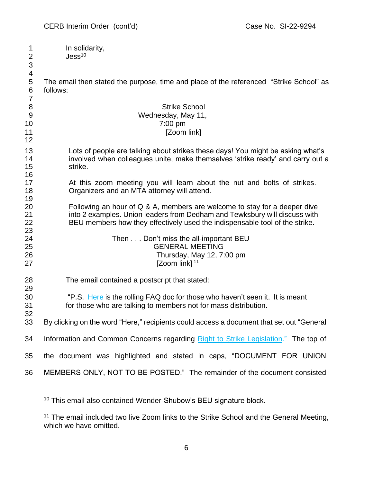| 1<br>$\overline{2}$                                     | In solidarity,<br>Jess <sup>10</sup>                                                                                                                                                                                                   |  |  |
|---------------------------------------------------------|----------------------------------------------------------------------------------------------------------------------------------------------------------------------------------------------------------------------------------------|--|--|
| $\ensuremath{\mathsf{3}}$                               |                                                                                                                                                                                                                                        |  |  |
| $\overline{\mathbf{4}}$<br>5<br>$\,6$<br>$\overline{7}$ | The email then stated the purpose, time and place of the referenced "Strike School" as<br>follows:                                                                                                                                     |  |  |
| 8                                                       | <b>Strike School</b>                                                                                                                                                                                                                   |  |  |
| $9$                                                     | Wednesday, May 11,                                                                                                                                                                                                                     |  |  |
| 10                                                      | 7:00 pm                                                                                                                                                                                                                                |  |  |
| 11<br>12                                                | [Zoom link]                                                                                                                                                                                                                            |  |  |
| 13<br>14<br>15<br>16                                    | Lots of people are talking about strikes these days! You might be asking what's<br>involved when colleagues unite, make themselves 'strike ready' and carry out a<br>strike.                                                           |  |  |
| 17<br>18<br>19                                          | At this zoom meeting you will learn about the nut and bolts of strikes.<br>Organizers and an MTA attorney will attend.                                                                                                                 |  |  |
| 20<br>21<br>22                                          | Following an hour of Q & A, members are welcome to stay for a deeper dive<br>into 2 examples. Union leaders from Dedham and Tewksbury will discuss with<br>BEU members how they effectively used the indispensable tool of the strike. |  |  |
| 23<br>24<br>25<br>26<br>27                              | Then Don't miss the all-important BEU<br><b>GENERAL MEETING</b><br>Thursday, May 12, 7:00 pm<br>[Zoom link] <sup>11</sup>                                                                                                              |  |  |
| 28<br>29                                                | The email contained a postscript that stated:                                                                                                                                                                                          |  |  |
| 30                                                      | "P.S. Here is the rolling FAQ doc for those who haven't seen it. It is meant                                                                                                                                                           |  |  |
| 31                                                      | for those who are talking to members not for mass distribution.                                                                                                                                                                        |  |  |
| 32                                                      |                                                                                                                                                                                                                                        |  |  |
| 33                                                      | By clicking on the word "Here," recipients could access a document that set out "General                                                                                                                                               |  |  |
| 34                                                      | Information and Common Concerns regarding Right to Strike Legislation." The top of                                                                                                                                                     |  |  |
| 35                                                      | the document was highlighted and stated in caps, "DOCUMENT FOR UNION                                                                                                                                                                   |  |  |
| 36                                                      | MEMBERS ONLY, NOT TO BE POSTED." The remainder of the document consisted                                                                                                                                                               |  |  |

This email also contained Wender-Shubow's BEU signature block.

<sup>&</sup>lt;sup>11</sup> The email included two live Zoom links to the Strike School and the General Meeting, which we have omitted.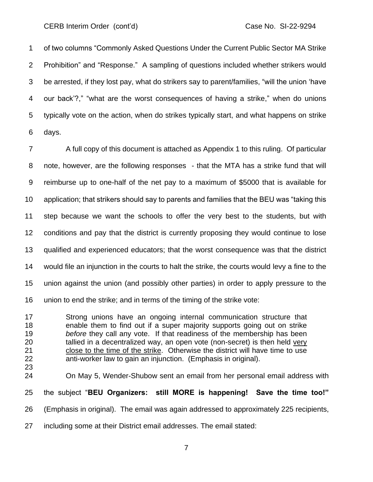of two columns "Commonly Asked Questions Under the Current Public Sector MA Strike Prohibition" and "Response." A sampling of questions included whether strikers would be arrested, if they lost pay, what do strikers say to parent/families, "will the union 'have our back'?," "what are the worst consequences of having a strike," when do unions typically vote on the action, when do strikes typically start, and what happens on strike days.

 A full copy of this document is attached as Appendix 1 to this ruling. Of particular note, however, are the following responses - that the MTA has a strike fund that will reimburse up to one-half of the net pay to a maximum of \$5000 that is available for application; that strikers should say to parents and families that the BEU was "taking this step because we want the schools to offer the very best to the students, but with conditions and pay that the district is currently proposing they would continue to lose qualified and experienced educators; that the worst consequence was that the district would file an injunction in the courts to halt the strike, the courts would levy a fine to the union against the union (and possibly other parties) in order to apply pressure to the union to end the strike; and in terms of the timing of the strike vote:

 Strong unions have an ongoing internal communication structure that enable them to find out if a super majority supports going out on strike *before* they call any vote. If that readiness of the membership has been tallied in a decentralized way, an open vote (non-secret) is then held very close to the time of the strike. Otherwise the district will have time to use anti-worker law to gain an injunction. (Emphasis in original).

On May 5, Wender-Shubow sent an email from her personal email address with

the subject "**BEU Organizers: still MORE is happening! Save the time too!"** 

(Emphasis in original). The email was again addressed to approximately 225 recipients,

including some at their District email addresses. The email stated: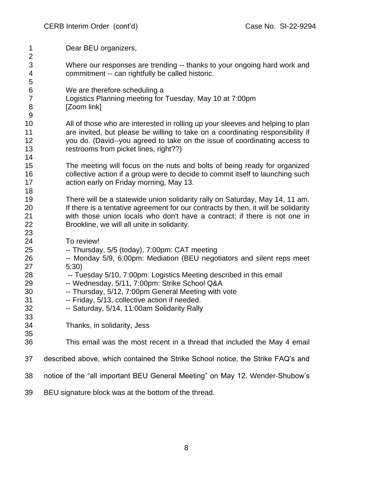| 1                              | Dear BEU organizers,                                                                                                         |
|--------------------------------|------------------------------------------------------------------------------------------------------------------------------|
| $\overline{2}$                 |                                                                                                                              |
| $\ensuremath{\mathsf{3}}$<br>4 | Where our responses are trending -- thanks to your ongoing hard work and<br>commitment -- can rightfully be called historic. |
| 5                              |                                                                                                                              |
| 6                              | We are therefore scheduling a                                                                                                |
| $\overline{7}$                 | Logistics Planning meeting for Tuesday, May 10 at 7:00pm                                                                     |
| 8                              | [Zoom link]                                                                                                                  |
| 9                              |                                                                                                                              |
| 10                             | All of those who are interested in rolling up your sleeves and helping to plan                                               |
| 11                             | are invited, but please be willing to take on a coordinating responsibility if                                               |
| 12                             | you do. (David--you agreed to take on the issue of coordinating access to                                                    |
| 13                             | restrooms from picket lines, right??)                                                                                        |
| 14                             |                                                                                                                              |
| 15                             | The meeting will focus on the nuts and bolts of being ready for organized                                                    |
| 16                             | collective action if a group were to decide to commit itself to launching such                                               |
| 17                             | action early on Friday morning, May 13.                                                                                      |
| 18                             |                                                                                                                              |
| 19                             | There will be a statewide union solidarity rally on Saturday, May 14, 11 am.                                                 |
| 20                             | If there is a tentative agreement for our contracts by then, it will be solidarity                                           |
| 21                             | with those union locals who don't have a contract; if there is not one in                                                    |
| 22                             | Brookline, we will all unite in solidarity.                                                                                  |
| 23                             |                                                                                                                              |
| 24                             | To review!                                                                                                                   |
| 25                             | -- Thursday, 5/5 (today), 7:00pm: CAT meeting                                                                                |
| 26                             | -- Monday 5/9, 6:00pm: Mediation (BEU negotiators and silent reps meet                                                       |
| 27                             | 5:30)                                                                                                                        |
| 28                             | -- Tuesday 5/10, 7:00pm: Logistics Meeting described in this email                                                           |
| 29                             | -- Wednesday, 5/11, 7:00pm: Strike School Q&A                                                                                |
| 30                             | -- Thursday, 5/12, 7:00pm General Meeting with vote                                                                          |
| 31                             | -- Friday, 5/13, collective action if needed.                                                                                |
| 32                             | -- Saturday, 5/14, 11:00am Solidarity Rally                                                                                  |
| 33                             |                                                                                                                              |
| 34                             | Thanks, in solidarity, Jess                                                                                                  |
| 35                             |                                                                                                                              |
| 36                             | This email was the most recent in a thread that included the May 4 email                                                     |
| 37                             | described above, which contained the Strike School notice, the Strike FAQ's and                                              |
| 38                             | notice of the "all important BEU General Meeting" on May 12. Wender-Shubow's                                                 |
| 39                             | BEU signature block was at the bottom of the thread.                                                                         |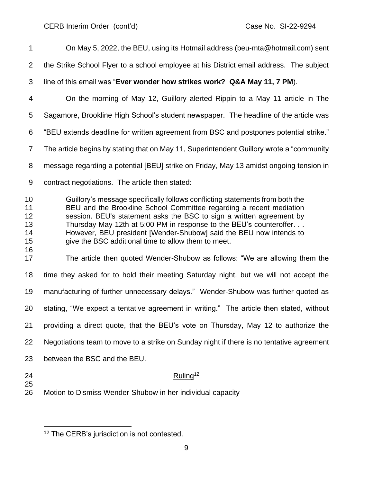On May 5, 2022, the BEU, using its Hotmail address (beu-mta@hotmail.com) sent the Strike School Flyer to a school employee at his District email address. The subject line of this email was "**Ever wonder how strikes work? Q&A May 11, 7 PM**). On the morning of May 12, Guillory alerted Rippin to a May 11 article in The Sagamore, Brookline High School's student newspaper. The headline of the article was "BEU extends deadline for written agreement from BSC and postpones potential strike." The article begins by stating that on May 11, Superintendent Guillory wrote a "community message regarding a potential [BEU] strike on Friday, May 13 amidst ongoing tension in contract negotiations. The article then stated: Guillory's message specifically follows conflicting statements from both the BEU and the Brookline School Committee regarding a recent mediation session. BEU's statement asks the BSC to sign a written agreement by Thursday May 12th at 5:00 PM in response to the BEU's counteroffer. . . However, BEU president [Wender-Shubow] said the BEU now intends to give the BSC additional time to allow them to meet. The article then quoted Wender-Shubow as follows: "We are allowing them the time they asked for to hold their meeting Saturday night, but we will not accept the manufacturing of further unnecessary delays." Wender-Shubow was further quoted as stating, "We expect a tentative agreement in writing." The article then stated, without providing a direct quote, that the BEU's vote on Thursday, May 12 to authorize the Negotiations team to move to a strike on Sunday night if there is no tentative agreement between the BSC and the BEU. 24 Ruling<sup>12</sup> Motion to Dismiss Wender-Shubow in her individual capacity

<sup>&</sup>lt;sup>12</sup> The CERB's jurisdiction is not contested.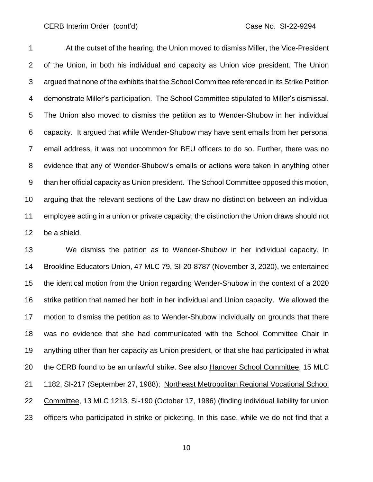At the outset of the hearing, the Union moved to dismiss Miller, the Vice-President of the Union, in both his individual and capacity as Union vice president. The Union argued that none of the exhibits that the School Committee referenced in its Strike Petition demonstrate Miller's participation. The School Committee stipulated to Miller's dismissal. The Union also moved to dismiss the petition as to Wender-Shubow in her individual capacity. It argued that while Wender-Shubow may have sent emails from her personal email address, it was not uncommon for BEU officers to do so. Further, there was no evidence that any of Wender-Shubow's emails or actions were taken in anything other than her official capacity as Union president. The School Committee opposed this motion, arguing that the relevant sections of the Law draw no distinction between an individual employee acting in a union or private capacity; the distinction the Union draws should not be a shield.

 We dismiss the petition as to Wender-Shubow in her individual capacity. In Brookline Educators Union, 47 MLC 79, SI-20-8787 (November 3, 2020), we entertained the identical motion from the Union regarding Wender-Shubow in the context of a 2020 strike petition that named her both in her individual and Union capacity. We allowed the motion to dismiss the petition as to Wender-Shubow individually on grounds that there was no evidence that she had communicated with the School Committee Chair in anything other than her capacity as Union president, or that she had participated in what 20 the CERB found to be an unlawful strike. See also Hanover School Committee, 15 MLC 1182, SI-217 (September 27, 1988); Northeast Metropolitan Regional Vocational School Committee, 13 MLC 1213, SI-190 (October 17, 1986) (finding individual liability for union officers who participated in strike or picketing. In this case, while we do not find that a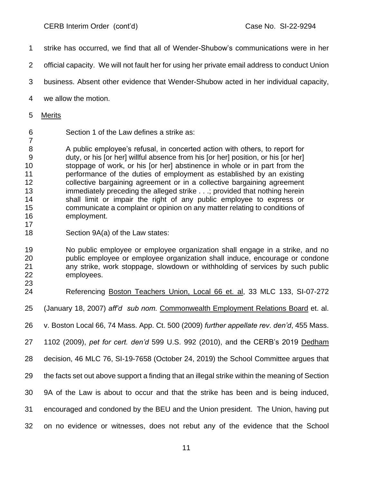- strike has occurred, we find that all of Wender-Shubow's communications were in her
- official capacity. We will not fault her for using her private email address to conduct Union
- business. Absent other evidence that Wender-Shubow acted in her individual capacity,
- we allow the motion.
- Merits

Section 1 of the Law defines a strike as:

 A public employee's refusal, in concerted action with others, to report for duty, or his [or her] willful absence from his [or her] position, or his [or her] stoppage of work, or his [or her] abstinence in whole or in part from the performance of the duties of employment as established by an existing collective bargaining agreement or in a collective bargaining agreement immediately preceding the alleged strike . . .; provided that nothing herein shall limit or impair the right of any public employee to express or communicate a complaint or opinion on any matter relating to conditions of employment. 

Section 9A(a) of the Law states:

 No public employee or employee organization shall engage in a strike, and no public employee or employee organization shall induce, encourage or condone any strike, work stoppage, slowdown or withholding of services by such public employees.

- 
- Referencing Boston Teachers Union, Local 66 et. al, 33 MLC 133, SI-07-272
- (January 18, 2007) *aff'd sub nom.* Commonwealth Employment Relations Board et. al.
- v. Boston Local 66, 74 Mass. App. Ct. 500 (2009) *further appellate rev. den'd*, 455 Mass.
- 1102 (2009), *pet for cert. den'd* 599 U.S. 992 (2010), and the CERB's 2019 Dedham
- decision, 46 MLC 76, SI-19-7658 (October 24, 2019) the School Committee argues that
- the facts set out above support a finding that an illegal strike within the meaning of Section
- 9A of the Law is about to occur and that the strike has been and is being induced,
- encouraged and condoned by the BEU and the Union president. The Union, having put
- on no evidence or witnesses, does not rebut any of the evidence that the School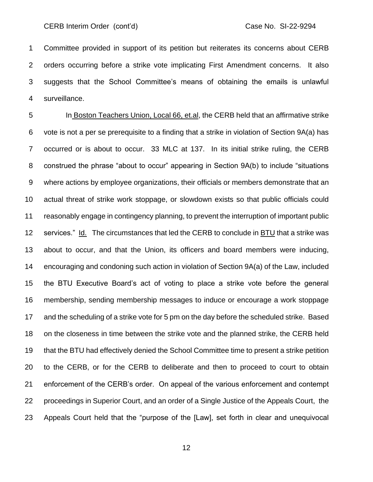Committee provided in support of its petition but reiterates its concerns about CERB orders occurring before a strike vote implicating First Amendment concerns. It also suggests that the School Committee's means of obtaining the emails is unlawful surveillance.

 In Boston Teachers Union, Local 66, et.al, the CERB held that an affirmative strike vote is not a per se prerequisite to a finding that a strike in violation of Section 9A(a) has occurred or is about to occur. 33 MLC at 137. In its initial strike ruling, the CERB construed the phrase "about to occur" appearing in Section 9A(b) to include "situations where actions by employee organizations, their officials or members demonstrate that an actual threat of strike work stoppage, or slowdown exists so that public officials could reasonably engage in contingency planning, to prevent the interruption of important public services." Id. The circumstances that led the CERB to conclude in BTU that a strike was about to occur, and that the Union, its officers and board members were inducing, encouraging and condoning such action in violation of Section 9A(a) of the Law, included the BTU Executive Board's act of voting to place a strike vote before the general membership, sending membership messages to induce or encourage a work stoppage and the scheduling of a strike vote for 5 pm on the day before the scheduled strike. Based on the closeness in time between the strike vote and the planned strike, the CERB held that the BTU had effectively denied the School Committee time to present a strike petition to the CERB, or for the CERB to deliberate and then to proceed to court to obtain enforcement of the CERB's order. On appeal of the various enforcement and contempt proceedings in Superior Court, and an order of a Single Justice of the Appeals Court, the Appeals Court held that the "purpose of the [Law], set forth in clear and unequivocal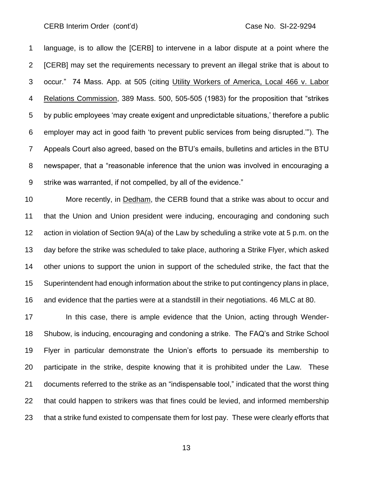language, is to allow the [CERB] to intervene in a labor dispute at a point where the [CERB] may set the requirements necessary to prevent an illegal strike that is about to occur." 74 Mass. App. at 505 (citing Utility Workers of America, Local 466 v. Labor Relations Commission, 389 Mass. 500, 505-505 (1983) for the proposition that "strikes by public employees 'may create exigent and unpredictable situations,' therefore a public employer may act in good faith 'to prevent public services from being disrupted.'"). The Appeals Court also agreed, based on the BTU's emails, bulletins and articles in the BTU newspaper, that a "reasonable inference that the union was involved in encouraging a strike was warranted, if not compelled, by all of the evidence."

 More recently, in Dedham, the CERB found that a strike was about to occur and that the Union and Union president were inducing, encouraging and condoning such action in violation of Section 9A(a) of the Law by scheduling a strike vote at 5 p.m. on the day before the strike was scheduled to take place, authoring a Strike Flyer, which asked other unions to support the union in support of the scheduled strike, the fact that the Superintendent had enough information about the strike to put contingency plans in place, and evidence that the parties were at a standstill in their negotiations. 46 MLC at 80.

 In this case, there is ample evidence that the Union, acting through Wender- Shubow, is inducing, encouraging and condoning a strike. The FAQ's and Strike School Flyer in particular demonstrate the Union's efforts to persuade its membership to participate in the strike, despite knowing that it is prohibited under the Law. These documents referred to the strike as an "indispensable tool," indicated that the worst thing that could happen to strikers was that fines could be levied, and informed membership that a strike fund existed to compensate them for lost pay. These were clearly efforts that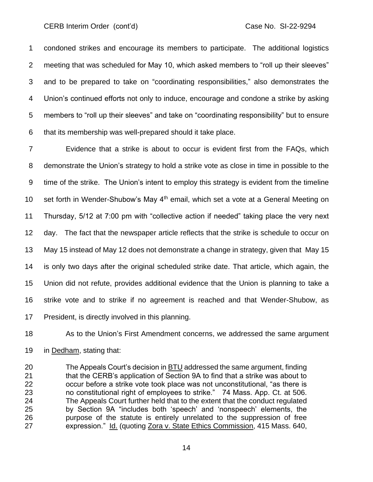condoned strikes and encourage its members to participate. The additional logistics meeting that was scheduled for May 10, which asked members to "roll up their sleeves" and to be prepared to take on "coordinating responsibilities," also demonstrates the Union's continued efforts not only to induce, encourage and condone a strike by asking members to "roll up their sleeves" and take on "coordinating responsibility" but to ensure that its membership was well-prepared should it take place.

 Evidence that a strike is about to occur is evident first from the FAQs, which demonstrate the Union's strategy to hold a strike vote as close in time in possible to the time of the strike. The Union's intent to employ this strategy is evident from the timeline 10 set forth in Wender-Shubow's May  $4<sup>th</sup>$  email, which set a vote at a General Meeting on Thursday, 5/12 at 7:00 pm with "collective action if needed" taking place the very next day. The fact that the newspaper article reflects that the strike is schedule to occur on May 15 instead of May 12 does not demonstrate a change in strategy, given that May 15 is only two days after the original scheduled strike date. That article, which again, the Union did not refute, provides additional evidence that the Union is planning to take a strike vote and to strike if no agreement is reached and that Wender-Shubow, as President, is directly involved in this planning.

As to the Union's First Amendment concerns, we addressed the same argument

in Dedham, stating that:

 The Appeals Court's decision in BTU addressed the same argument, finding that the CERB's application of Section 9A to find that a strike was about to occur before a strike vote took place was not unconstitutional, "as there is no constitutional right of employees to strike." 74 Mass. App. Ct. at 506. The Appeals Court further held that to the extent that the conduct regulated by Section 9A "includes both 'speech' and 'nonspeech' elements, the purpose of the statute is entirely unrelated to the suppression of free expression." Id. (quoting Zora v. State Ethics Commission, 415 Mass. 640,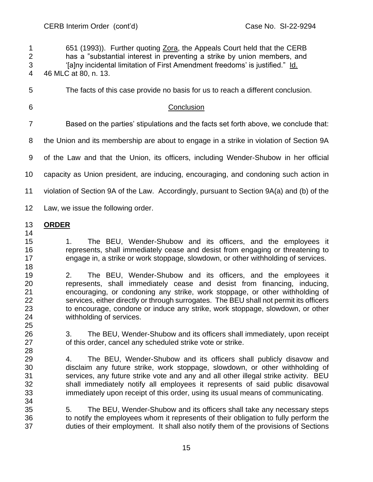651 (1993)). Further quoting Zora, the Appeals Court held that the CERB has a "substantial interest in preventing a strike by union members, and '[a]ny incidental limitation of First Amendment freedoms' is justified." Id. 46 MLC at 80, n. 13.

The facts of this case provide no basis for us to reach a different conclusion.

# Conclusion

Based on the parties' stipulations and the facts set forth above, we conclude that:

the Union and its membership are about to engage in a strike in violation of Section 9A

of the Law and that the Union, its officers, including Wender-Shubow in her official

capacity as Union president, are inducing, encouraging, and condoning such action in

violation of Section 9A of the Law. Accordingly, pursuant to Section 9A(a) and (b) of the

Law, we issue the following order.

# **ORDER**

- 1. The BEU, Wender-Shubow and its officers, and the employees it represents, shall immediately cease and desist from engaging or threatening to engage in, a strike or work stoppage, slowdown, or other withholding of services.
- 2. The BEU, Wender-Shubow and its officers, and the employees it represents, shall immediately cease and desist from financing, inducing, encouraging, or condoning any strike, work stoppage, or other withholding of services, either directly or through surrogates. The BEU shall not permit its officers to encourage, condone or induce any strike, work stoppage, slowdown, or other withholding of services.
- 3. The BEU, Wender-Shubow and its officers shall immediately, upon receipt of this order, cancel any scheduled strike vote or strike.
- 4. The BEU, Wender-Shubow and its officers shall publicly disavow and disclaim any future strike, work stoppage, slowdown, or other withholding of services, any future strike vote and any and all other illegal strike activity. BEU shall immediately notify all employees it represents of said public disavowal immediately upon receipt of this order, using its usual means of communicating.
- 5. The BEU, Wender-Shubow and its officers shall take any necessary steps to notify the employees whom it represents of their obligation to fully perform the duties of their employment. It shall also notify them of the provisions of Sections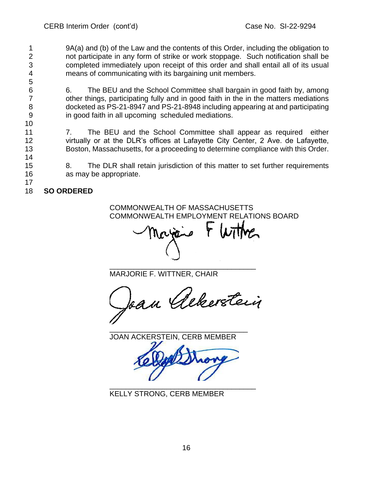9A(a) and (b) of the Law and the contents of this Order, including the obligation to not participate in any form of strike or work stoppage. Such notification shall be completed immediately upon receipt of this order and shall entail all of its usual means of communicating with its bargaining unit members.

 6. The BEU and the School Committee shall bargain in good faith by, among other things, participating fully and in good faith in the in the matters mediations docketed as PS-21-8947 and PS-21-8948 including appearing at and participating in good faith in all upcoming scheduled mediations.

11 7. The BEU and the School Committee shall appear as required either virtually or at the DLR's offices at Lafayette City Center, 2 Ave. de Lafayette, Boston, Massachusetts, for a proceeding to determine compliance with this Order.

- 8. The DLR shall retain jurisdiction of this matter to set further requirements as may be appropriate.
- **SO ORDERED**

COMMONWEALTH OF MASSACHUSETTS COMMONWEALTH EMPLOYMENT RELATIONS BOARD

\_\_\_\_\_\_\_\_\_\_\_\_\_\_\_\_\_\_\_\_\_\_\_\_\_\_\_\_\_\_\_\_\_\_\_\_ MARJORIE F. WITTNER, CHAIR

Ian Albertein

\_\_\_\_\_\_\_\_\_\_\_\_\_\_\_\_\_\_\_\_\_\_\_\_\_\_\_\_\_\_\_\_\_\_ JOAN ACKERSTEIN, CERB MEMBER

\_\_\_\_\_\_\_\_\_\_\_\_\_\_\_\_\_\_\_\_\_\_\_\_\_\_\_\_\_\_\_\_\_\_\_\_

KELLY STRONG, CERB MEMBER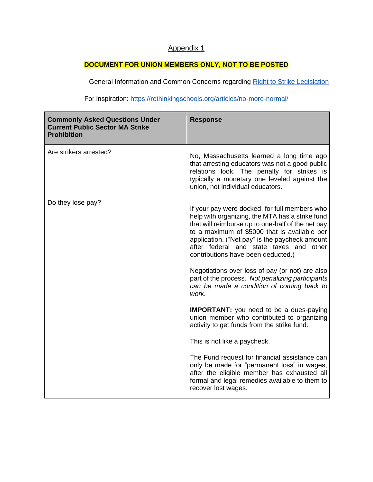# Appendix 1

# **DOCUMENT FOR UNION MEMBERS ONLY, NOT TO BE POSTED**

Ge[n](https://actonmass.org/right2strike)eral Information and Common Concerns regarding Right to Strike Legislation

For inspiration: https://rethinkingschools.org/articles/n[o-more-normal/](https://rethinkingschools.org/articles/no-more-normal/)

| <b>Commonly Asked Questions Under</b><br><b>Current Public Sector MA Strike</b><br><b>Prohibition</b> | <b>Response</b>                                                                                                                                                                                                                                                                                                                          |
|-------------------------------------------------------------------------------------------------------|------------------------------------------------------------------------------------------------------------------------------------------------------------------------------------------------------------------------------------------------------------------------------------------------------------------------------------------|
| Are strikers arrested?                                                                                | No, Massachusetts learned a long time ago<br>that arresting educators was not a good public<br>relations look. The penalty for strikes is<br>typically a monetary one leveled against the<br>union, not individual educators.                                                                                                            |
| Do they lose pay?                                                                                     | If your pay were docked, for full members who<br>help with organizing, the MTA has a strike fund<br>that will reimburse up to one-half of the net pay<br>to a maximum of \$5000 that is available per<br>application. ("Net pay" is the paycheck amount<br>after federal and state taxes and other<br>contributions have been deducted.) |
|                                                                                                       | Negotiations over loss of pay (or not) are also<br>part of the process. Not penalizing participants<br>can be made a condition of coming back to<br>work.                                                                                                                                                                                |
|                                                                                                       | <b>IMPORTANT:</b> you need to be a dues-paying<br>union member who contributed to organizing<br>activity to get funds from the strike fund.                                                                                                                                                                                              |
|                                                                                                       | This is not like a paycheck.                                                                                                                                                                                                                                                                                                             |
|                                                                                                       | The Fund request for financial assistance can<br>only be made for "permanent loss" in wages,<br>after the eligible member has exhausted all<br>formal and legal remedies available to them to<br>recover lost wages.                                                                                                                     |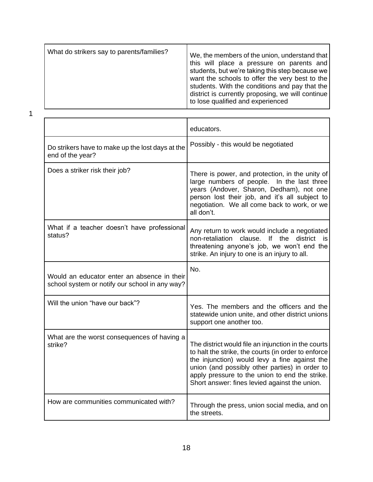| What do strikers say to parents/families? | We, the members of the union, understand that<br>this will place a pressure on parents and<br>students, but we're taking this step because we<br>want the schools to offer the very best to the<br>students. With the conditions and pay that the<br>district is currently proposing, we will continue<br>to lose qualified and experienced |
|-------------------------------------------|---------------------------------------------------------------------------------------------------------------------------------------------------------------------------------------------------------------------------------------------------------------------------------------------------------------------------------------------|
|-------------------------------------------|---------------------------------------------------------------------------------------------------------------------------------------------------------------------------------------------------------------------------------------------------------------------------------------------------------------------------------------------|

|                                                                                               | educators.                                                                                                                                                                                                                                                                                                       |
|-----------------------------------------------------------------------------------------------|------------------------------------------------------------------------------------------------------------------------------------------------------------------------------------------------------------------------------------------------------------------------------------------------------------------|
| Do strikers have to make up the lost days at the<br>end of the year?                          | Possibly - this would be negotiated                                                                                                                                                                                                                                                                              |
| Does a striker risk their job?                                                                | There is power, and protection, in the unity of<br>large numbers of people.<br>In the last three<br>years (Andover, Sharon, Dedham), not one<br>person lost their job, and it's all subject to<br>negotiation. We all come back to work, or we<br>all don't.                                                     |
| What if a teacher doesn't have professional<br>status?                                        | Any return to work would include a negotiated<br>district<br>non-retaliation<br>clause.<br>If the<br>is.<br>threatening anyone's job, we won't end the<br>strike. An injury to one is an injury to all.                                                                                                          |
| Would an educator enter an absence in their<br>school system or notify our school in any way? | No.                                                                                                                                                                                                                                                                                                              |
| Will the union "have our back"?                                                               | Yes. The members and the officers and the<br>statewide union unite, and other district unions<br>support one another too.                                                                                                                                                                                        |
| What are the worst consequences of having a<br>strike?                                        | The district would file an injunction in the courts<br>to halt the strike, the courts (in order to enforce<br>the injunction) would levy a fine against the<br>union (and possibly other parties) in order to<br>apply pressure to the union to end the strike.<br>Short answer: fines levied against the union. |
| How are communities communicated with?                                                        | Through the press, union social media, and on<br>the streets.                                                                                                                                                                                                                                                    |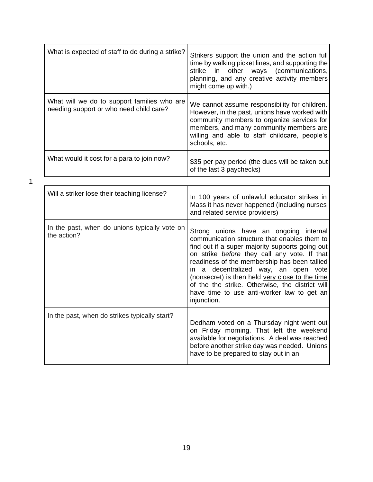| What is expected of staff to do during a strike?                                       | Strikers support the union and the action full<br>time by walking picket lines, and supporting the<br>other ways<br>(communications,<br>strike<br>in<br>planning, and any creative activity members<br>might come up with.)                                                                                                                                                                                                                          |
|----------------------------------------------------------------------------------------|------------------------------------------------------------------------------------------------------------------------------------------------------------------------------------------------------------------------------------------------------------------------------------------------------------------------------------------------------------------------------------------------------------------------------------------------------|
| What will we do to support families who are<br>needing support or who need child care? | We cannot assume responsibility for children.<br>However, in the past, unions have worked with<br>community members to organize services for<br>members, and many community members are<br>willing and able to staff childcare, people's<br>schools, etc.                                                                                                                                                                                            |
| What would it cost for a para to join now?                                             | \$35 per pay period (the dues will be taken out<br>of the last 3 paychecks)                                                                                                                                                                                                                                                                                                                                                                          |
|                                                                                        |                                                                                                                                                                                                                                                                                                                                                                                                                                                      |
| Will a striker lose their teaching license?                                            | In 100 years of unlawful educator strikes in<br>Mass it has never happened (including nurses<br>and related service providers)                                                                                                                                                                                                                                                                                                                       |
| In the past, when do unions typically vote on<br>the action?                           | Strong unions have an ongoing internal<br>communication structure that enables them to<br>find out if a super majority supports going out<br>on strike before they call any vote. If that<br>readiness of the membership has been tallied<br>in a decentralized way, an open vote<br>(nonsecret) is then held very close to the time<br>of the the strike. Otherwise, the district will<br>have time to use anti-worker law to get an<br>injunction. |
| In the past, when do strikes typically start?                                          | Dedham voted on a Thursday night went out<br>on Friday morning. That left the weekend<br>available for negotiations. A deal was reached<br>before another strike day was needed. Unions<br>have to be prepared to stay out in an                                                                                                                                                                                                                     |